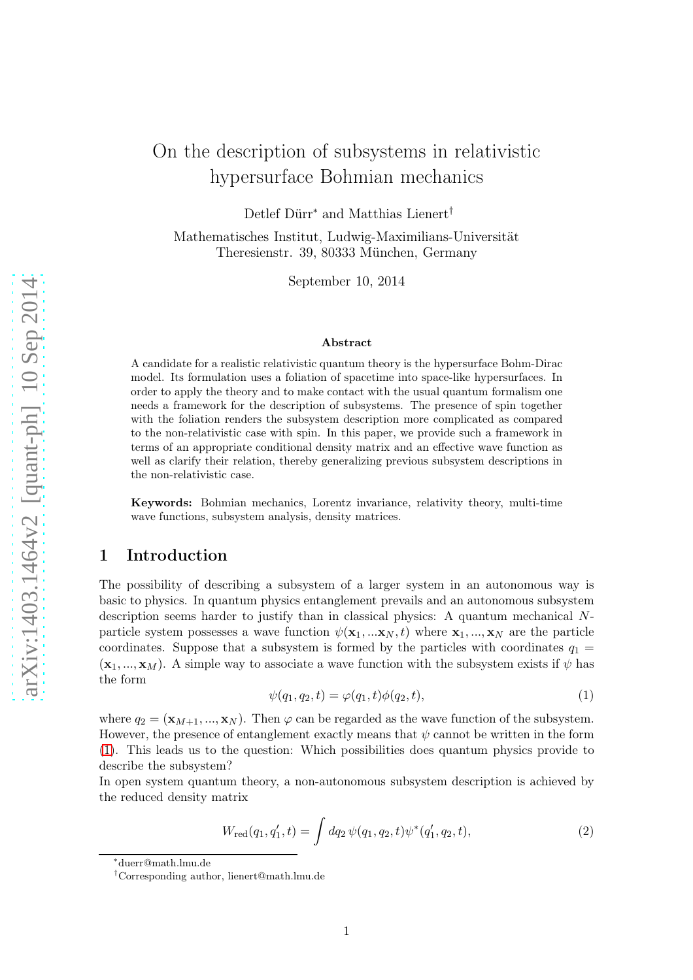# On the description of subsystems in relativistic hypersurface Bohmian mechanics

Detlef Dürr<sup>∗</sup> and Matthias Lienert†

Mathematisches Institut, Ludwig-Maximilians-Universität Theresienstr. 39, 80333 München, Germany

September 10, 2014

#### Abstract

A candidate for a realistic relativistic quantum theory is the hypersurface Bohm-Dirac model. Its formulation uses a foliation of spacetime into space-like hypersurfaces. In order to apply the theory and to make contact with the usual quantum formalism one needs a framework for the description of subsystems. The presence of spin together with the foliation renders the subsystem description more complicated as compared to the non-relativistic case with spin. In this paper, we provide such a framework in terms of an appropriate conditional density matrix and an effective wave function as well as clarify their relation, thereby generalizing previous subsystem descriptions in the non-relativistic case.

Keywords: Bohmian mechanics, Lorentz invariance, relativity theory, multi-time wave functions, subsystem analysis, density matrices.

## 1 Introduction

The possibility of describing a subsystem of a larger system in an autonomous way is basic to physics. In quantum physics entanglement prevails and an autonomous subsystem description seems harder to justify than in classical physics: A quantum mechanical Nparticle system possesses a wave function  $\psi(\mathbf{x}_1, \dots, \mathbf{x}_N, t)$  where  $\mathbf{x}_1, \dots, \mathbf{x}_N$  are the particle coordinates. Suppose that a subsystem is formed by the particles with coordinates  $q_1 =$  $(\mathbf{x}_1, ..., \mathbf{x}_M)$ . A simple way to associate a wave function with the subsystem exists if  $\psi$  has the form

<span id="page-0-0"></span>
$$
\psi(q_1, q_2, t) = \varphi(q_1, t)\phi(q_2, t), \tag{1}
$$

where  $q_2 = (\mathbf{x}_{M+1}, ..., \mathbf{x}_N)$ . Then  $\varphi$  can be regarded as the wave function of the subsystem. However, the presence of entanglement exactly means that  $\psi$  cannot be written in the form [\(1\)](#page-0-0). This leads us to the question: Which possibilities does quantum physics provide to describe the subsystem?

In open system quantum theory, a non-autonomous subsystem description is achieved by the reduced density matrix

$$
W_{\rm red}(q_1, q_1', t) = \int dq_2 \, \psi(q_1, q_2, t) \psi^*(q_1', q_2, t), \tag{2}
$$

<sup>∗</sup> duerr@math.lmu.de

<sup>†</sup>Corresponding author, lienert@math.lmu.de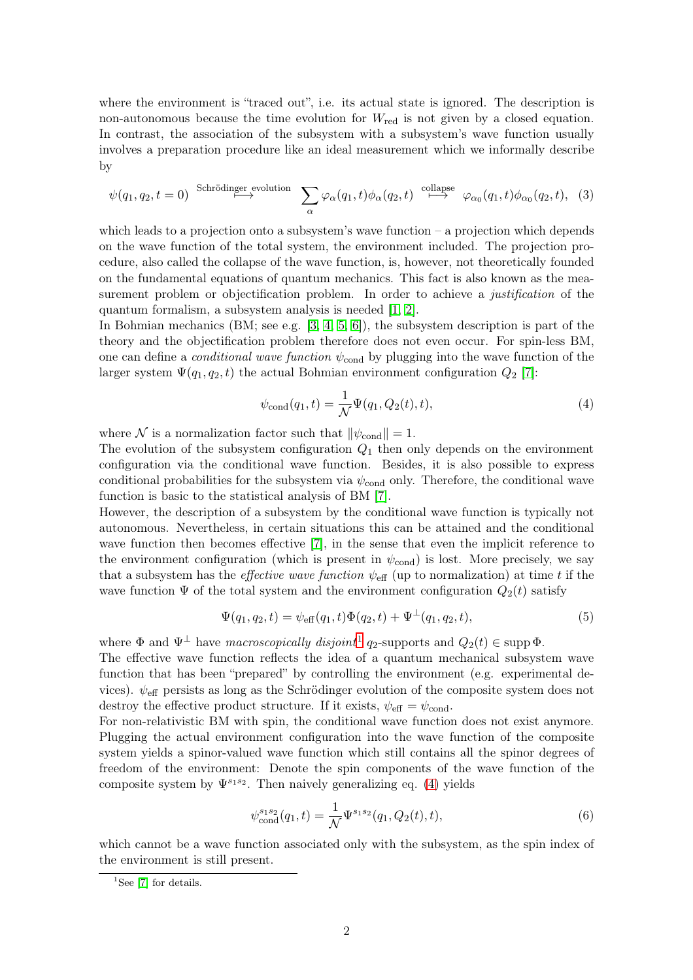where the environment is "traced out", i.e. its actual state is ignored. The description is non-autonomous because the time evolution for  $W_{\text{red}}$  is not given by a closed equation. In contrast, the association of the subsystem with a subsystem's wave function usually involves a preparation procedure like an ideal measurement which we informally describe by

$$
\psi(q_1, q_2, t=0) \xrightarrow{\text{Schrödinger evolution}} \sum_{\alpha} \varphi_{\alpha}(q_1, t) \phi_{\alpha}(q_2, t) \xrightarrow{\text{collapse}} \varphi_{\alpha_0}(q_1, t) \phi_{\alpha_0}(q_2, t), \tag{3}
$$

which leads to a projection onto a subsystem's wave function  $-$  a projection which depends on the wave function of the total system, the environment included. The projection procedure, also called the collapse of the wave function, is, however, not theoretically founded on the fundamental equations of quantum mechanics. This fact is also known as the measurement problem or objectification problem. In order to achieve a *justification* of the quantum formalism, a subsystem analysis is needed [\[1,](#page-13-0) [2\]](#page-13-1).

In Bohmian mechanics (BM; see e.g.  $[3, 4, 5, 6]$  $[3, 4, 5, 6]$  $[3, 4, 5, 6]$  $[3, 4, 5, 6]$ ), the subsystem description is part of the theory and the objectification problem therefore does not even occur. For spin-less BM, one can define a *conditional wave function*  $\psi_{\text{cond}}$  by plugging into the wave function of the larger system  $\Psi(q_1, q_2, t)$  the actual Bohmian environment configuration  $Q_2$  [\[7\]](#page-13-6):

<span id="page-1-1"></span>
$$
\psi_{\text{cond}}(q_1, t) = \frac{1}{\mathcal{N}} \Psi(q_1, Q_2(t), t), \tag{4}
$$

where  $\mathcal N$  is a normalization factor such that  $\|\psi_{\text{cond}}\| = 1$ .

The evolution of the subsystem configuration  $Q_1$  then only depends on the environment configuration via the conditional wave function. Besides, it is also possible to express conditional probabilities for the subsystem via  $\psi_{\text{cond}}$  only. Therefore, the conditional wave function is basic to the statistical analysis of BM [\[7\]](#page-13-6).

However, the description of a subsystem by the conditional wave function is typically not autonomous. Nevertheless, in certain situations this can be attained and the conditional wave function then becomes effective [\[7\]](#page-13-6), in the sense that even the implicit reference to the environment configuration (which is present in  $\psi_{\text{cond}}$ ) is lost. More precisely, we say that a subsystem has the *effective wave function*  $\psi_{\text{eff}}$  (up to normalization) at time t if the wave function  $\Psi$  of the total system and the environment configuration  $Q_2(t)$  satisfy

<span id="page-1-2"></span>
$$
\Psi(q_1, q_2, t) = \psi_{\text{eff}}(q_1, t)\Phi(q_2, t) + \Psi^{\perp}(q_1, q_2, t), \tag{5}
$$

where  $\Phi$  and  $\Psi^{\perp}$  have *macroscopically disjoint*<sup>[1](#page-1-0)</sup>  $q_2$ -supports and  $Q_2(t) \in \text{supp } \Phi$ .

The effective wave function reflects the idea of a quantum mechanical subsystem wave function that has been "prepared" by controlling the environment (e.g. experimental devices).  $\psi_{\text{eff}}$  persists as long as the Schrödinger evolution of the composite system does not destroy the effective product structure. If it exists,  $\psi_{\text{eff}} = \psi_{\text{cond}}$ .

For non-relativistic BM with spin, the conditional wave function does not exist anymore. Plugging the actual environment configuration into the wave function of the composite system yields a spinor-valued wave function which still contains all the spinor degrees of freedom of the environment: Denote the spin components of the wave function of the composite system by  $\Psi^{s_1s_2}$ . Then naively generalizing eq. [\(4\)](#page-1-1) yields

$$
\psi_{\text{cond}}^{s_1 s_2}(q_1, t) = \frac{1}{\mathcal{N}} \Psi^{s_1 s_2}(q_1, Q_2(t), t), \tag{6}
$$

which cannot be a wave function associated only with the subsystem, as the spin index of the environment is still present.

<span id="page-1-0"></span> ${}^{1}$ See [\[7\]](#page-13-6) for details.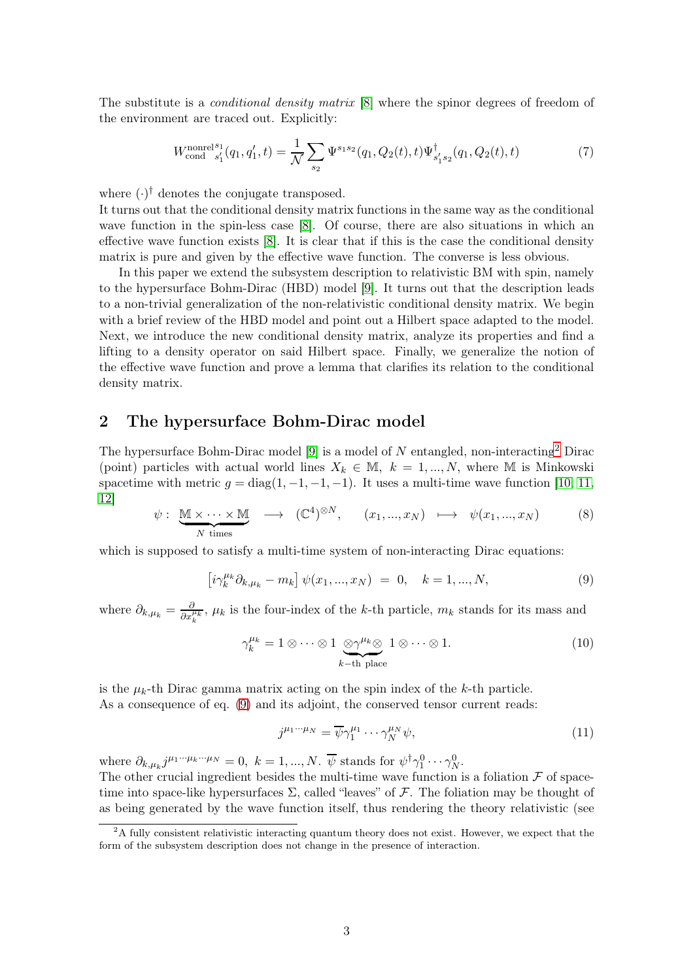The substitute is a *conditional density matrix* [\[8\]](#page-13-7) where the spinor degrees of freedom of the environment are traced out. Explicitly:

<span id="page-2-3"></span>
$$
W_{\text{cond}}^{\text{nonrel}} s_1^s(q_1, q_1', t) = \frac{1}{N} \sum_{s_2} \Psi^{s_1 s_2}(q_1, Q_2(t), t) \Psi_{s_1's_2}^{\dagger}(q_1, Q_2(t), t)
$$
(7)

where  $(\cdot)^\dagger$  denotes the conjugate transposed.

It turns out that the conditional density matrix functions in the same way as the conditional wave function in the spin-less case [\[8\]](#page-13-7). Of course, there are also situations in which an effective wave function exists [\[8\]](#page-13-7). It is clear that if this is the case the conditional density matrix is pure and given by the effective wave function. The converse is less obvious.

In this paper we extend the subsystem description to relativistic BM with spin, namely to the hypersurface Bohm-Dirac (HBD) model [\[9\]](#page-13-8). It turns out that the description leads to a non-trivial generalization of the non-relativistic conditional density matrix. We begin with a brief review of the HBD model and point out a Hilbert space adapted to the model. Next, we introduce the new conditional density matrix, analyze its properties and find a lifting to a density operator on said Hilbert space. Finally, we generalize the notion of the effective wave function and prove a lemma that clarifies its relation to the conditional density matrix.

## 2 The hypersurface Bohm-Dirac model

The hypersurface Bohm-Dirac model [\[9\]](#page-13-8) is a model of  $N$  entangled, non-interacting<sup>[2](#page-2-0)</sup> Dirac (point) particles with actual world lines  $X_k \in \mathbb{M}, k = 1, ..., N$ , where M is Minkowski spacetime with metric  $g = diag(1, -1, -1, -1)$ . It uses a multi-time wave function [\[10,](#page-13-9) [11,](#page-13-10) [12\]](#page-13-11)

$$
\psi: \underbrace{\mathbb{M} \times \cdots \times \mathbb{M}}_{N \text{ times}} \longrightarrow (\mathbb{C}^{4})^{\otimes N}, \quad (x_{1}, ..., x_{N}) \longmapsto \psi(x_{1}, ..., x_{N}) \tag{8}
$$

which is supposed to satisfy a multi-time system of non-interacting Dirac equations:

<span id="page-2-1"></span>
$$
\[i\gamma_k^{\mu_k}\partial_{k,\mu_k} - m_k\] \psi(x_1,...,x_N) = 0, \quad k = 1,...,N,
$$
\n(9)

where  $\partial_{k,\mu_k} = \frac{\partial}{\partial x_k^{\mu_k}}$ ,  $\mu_k$  is the four-index of the k-th particle,  $m_k$  stands for its mass and

$$
\gamma_k^{\mu_k} = 1 \otimes \cdots \otimes 1 \underbrace{\otimes \gamma^{\mu_k} \otimes 1 \otimes \cdots \otimes 1}_{k-\text{th place}}.
$$
\n(10)

is the  $\mu_k$ -th Dirac gamma matrix acting on the spin index of the k-th particle. As a consequence of eq. [\(9\)](#page-2-1) and its adjoint, the conserved tensor current reads:

<span id="page-2-2"></span>
$$
j^{\mu_1\cdots\mu_N} = \overline{\psi}\gamma_1^{\mu_1}\cdots\gamma_N^{\mu_N}\psi,\tag{11}
$$

where  $\partial_{k,\mu_k} j^{\mu_1\cdots\mu_N} = 0, k = 1, ..., N$ .  $\overline{\psi}$  stands for  $\psi^{\dagger} \gamma_1^0 \cdots \gamma_N^0$ . The other crucial ingredient besides the multi-time wave function is a foliation  $\mathcal F$  of spacetime into space-like hypersurfaces  $\Sigma$ , called "leaves" of F. The foliation may be thought of as being generated by the wave function itself, thus rendering the theory relativistic (see

<span id="page-2-0"></span><sup>&</sup>lt;sup>2</sup>A fully consistent relativistic interacting quantum theory does not exist. However, we expect that the form of the subsystem description does not change in the presence of interaction.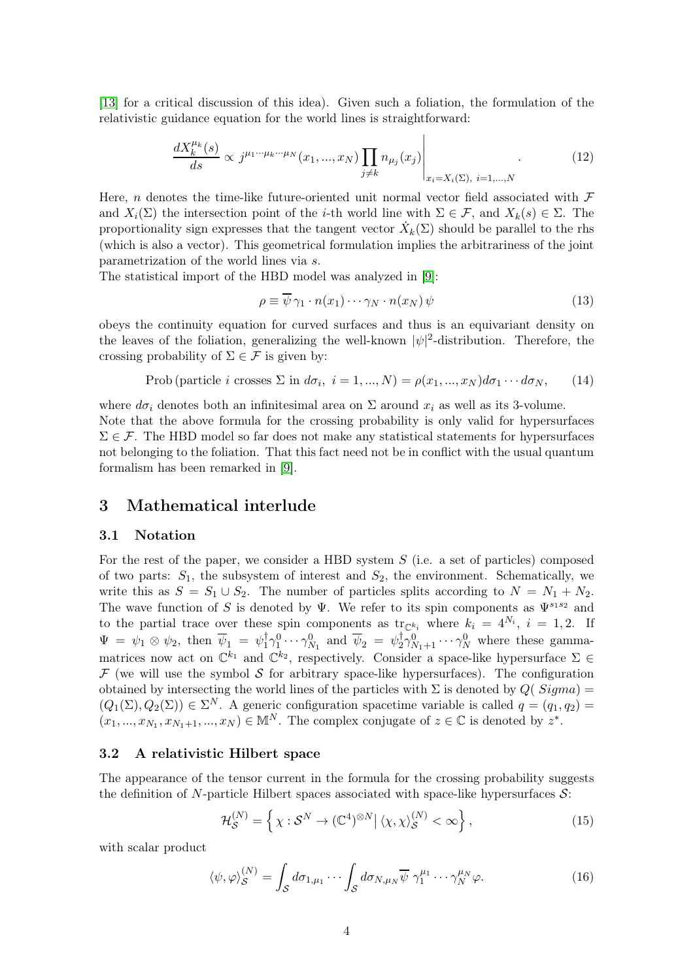[\[13\]](#page-13-12) for a critical discussion of this idea). Given such a foliation, the formulation of the relativistic guidance equation for the world lines is straightforward:

<span id="page-3-2"></span>
$$
\frac{dX_k^{\mu_k}(s)}{ds} \propto j^{\mu_1 \cdots \mu_k \cdots \mu_N}(x_1, ..., x_N) \prod_{j \neq k} n_{\mu_j}(x_j) \Bigg|_{x_i = X_i(\Sigma), i = 1, ..., N}.
$$
\n(12)

Here, n denotes the time-like future-oriented unit normal vector field associated with  $\mathcal F$ and  $X_i(\Sigma)$  the intersection point of the *i*-th world line with  $\Sigma \in \mathcal{F}$ , and  $X_k(s) \in \Sigma$ . The proportionality sign expresses that the tangent vector  $\dot{X}_k(\Sigma)$  should be parallel to the rhs (which is also a vector). This geometrical formulation implies the arbitrariness of the joint parametrization of the world lines via s.

The statistical import of the HBD model was analyzed in [\[9\]](#page-13-8):

$$
\rho \equiv \overline{\psi} \, \gamma_1 \cdot n(x_1) \cdots \gamma_N \cdot n(x_N) \, \psi \tag{13}
$$

obeys the continuity equation for curved surfaces and thus is an equivariant density on the leaves of the foliation, generalizing the well-known  $|\psi|^2$ -distribution. Therefore, the crossing probability of  $\Sigma \in \mathcal{F}$  is given by:

<span id="page-3-1"></span>Prob (particle *i* crosses 
$$
\Sigma
$$
 in  $d\sigma_i$ ,  $i = 1, ..., N$ ) =  $\rho(x_1, ..., x_N)d\sigma_1 \cdots d\sigma_N$ , (14)

where  $d\sigma_i$  denotes both an infinitesimal area on  $\Sigma$  around  $x_i$  as well as its 3-volume. Note that the above formula for the crossing probability is only valid for hypersurfaces  $\Sigma \in \mathcal{F}$ . The HBD model so far does not make any statistical statements for hypersurfaces not belonging to the foliation. That this fact need not be in conflict with the usual quantum formalism has been remarked in [\[9\]](#page-13-8).

## 3 Mathematical interlude

#### 3.1 Notation

For the rest of the paper, we consider a HBD system  $S$  (i.e. a set of particles) composed of two parts:  $S_1$ , the subsystem of interest and  $S_2$ , the environment. Schematically, we write this as  $S = S_1 \cup S_2$ . The number of particles splits according to  $N = N_1 + N_2$ . The wave function of S is denoted by Ψ. We refer to its spin components as  $\Psi^{s_1s_2}$  and to the partial trace over these spin components as  $\text{tr}_{\mathbb{C}^{k_i}}$  where  $k_i = 4^{N_i}$ ,  $i = 1, 2$ . If  $\Psi = \psi_1 \otimes \psi_2$ , then  $\overline{\psi}_1 = \psi_1^{\dagger}$  ${}^{\dagger}_{1}\gamma_{1}^{0}\cdots\gamma_{N_{1}}^{0}$  and  $\overline{\psi}_{2} = \psi_{2}^{\dagger}$  $\frac{1}{2}\gamma_{N_1+1}^0 \cdots \gamma_N^0$  where these gammamatrices now act on  $\mathbb{C}^{k_1}$  and  $\mathbb{C}^{k_2}$ , respectively. Consider a space-like hypersurface  $\Sigma \in$  $\mathcal F$  (we will use the symbol S for arbitrary space-like hypersurfaces). The configuration obtained by intersecting the world lines of the particles with  $\Sigma$  is denoted by  $Q(Sigma)$  =  $(Q_1(\Sigma), Q_2(\Sigma)) \in \Sigma^N$ . A generic configuration spacetime variable is called  $q = (q_1, q_2)$  $(x_1, ..., x_{N_1}, x_{N_1+1}, ..., x_N) \in \mathbb{M}^N$ . The complex conjugate of  $z \in \mathbb{C}$  is denoted by  $z^*$ .

#### 3.2 A relativistic Hilbert space

The appearance of the tensor current in the formula for the crossing probability suggests the definition of N-particle Hilbert spaces associated with space-like hypersurfaces  $S$ :

<span id="page-3-3"></span>
$$
\mathcal{H}_{\mathcal{S}}^{(N)} = \left\{ \chi : \mathcal{S}^N \to (\mathbb{C}^4)^{\otimes N} \, \middle| \, \langle \chi, \chi \rangle_{\mathcal{S}}^{(N)} < \infty \right\},\tag{15}
$$

with scalar product

<span id="page-3-0"></span>
$$
\langle \psi, \varphi \rangle_{\mathcal{S}}^{(N)} = \int_{\mathcal{S}} d\sigma_{1,\mu_1} \cdots \int_{\mathcal{S}} d\sigma_{N,\mu_N} \overline{\psi} \ \gamma_1^{\mu_1} \cdots \gamma_N^{\mu_N} \varphi. \tag{16}
$$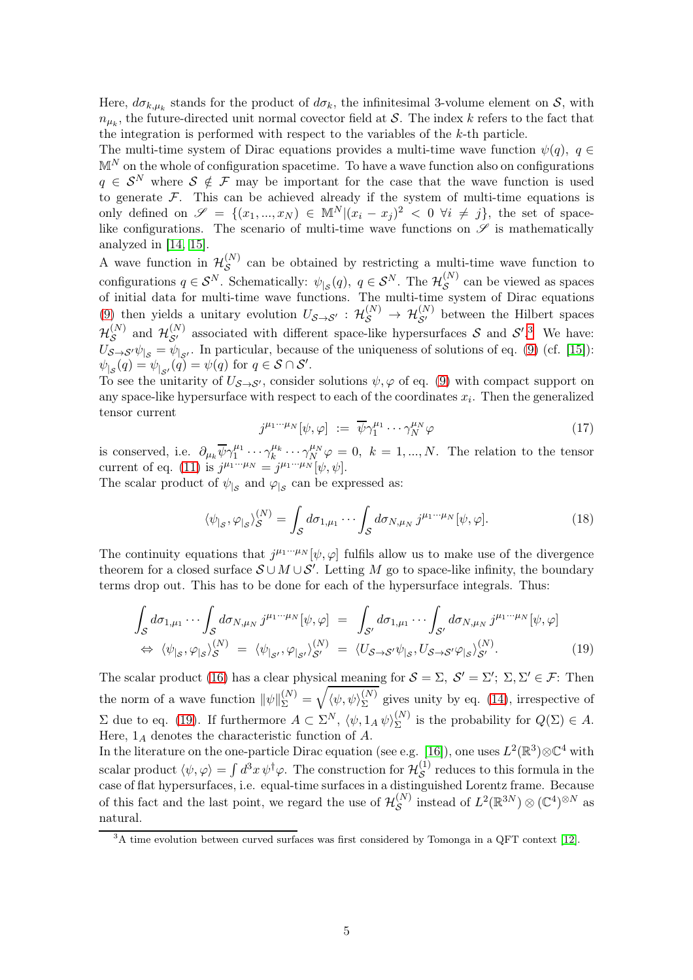Here,  $d\sigma_{k,\mu_k}$  stands for the product of  $d\sigma_k$ , the infinitesimal 3-volume element on S, with  $n_{\mu_k}$ , the future-directed unit normal covector field at S. The index k refers to the fact that the integration is performed with respect to the variables of the k-th particle.

The multi-time system of Dirac equations provides a multi-time wave function  $\psi(q)$ ,  $q \in$  $\mathbb{M}^N$  on the whole of configuration spacetime. To have a wave function also on configurations  $q \in \mathcal{S}^N$  where  $\mathcal{S} \notin \mathcal{F}$  may be important for the case that the wave function is used to generate  $\mathcal F$ . This can be achieved already if the system of multi-time equations is only defined on  $\mathscr{S} = \{(x_1,...,x_N) \in \mathbb{M}^N | (x_i - x_j)^2 \leq 0 \forall i \neq j\}$ , the set of spacelike configurations. The scenario of multi-time wave functions on  $\mathscr S$  is mathematically analyzed in [\[14,](#page-13-13) [15\]](#page-13-14).

A wave function in  $\mathcal{H}_{\mathcal{S}}^{(N)}$  can be obtained by restricting a multi-time wave function to S configurations  $q \in \mathcal{S}^N$ . Schematically:  $\psi_{|_{\mathcal{S}}}(q)$ ,  $q \in \mathcal{S}^N$ . The  $\mathcal{H}_{\mathcal{S}}^{(N)}$  $\mathcal{S}^{(N)}$  can be viewed as spaces of initial data for multi-time wave functions. The multi-time system of Dirac equations [\(9\)](#page-2-1) then yields a unitary evolution  $U_{\mathcal{S}\to\mathcal{S}'}$ :  $\mathcal{H}_{\mathcal{S}}^{(N)} \to \mathcal{H}_{\mathcal{S}'}^{(N)}$  between the Hilbert spaces  $\mathcal{H}^{(N)}_{\mathcal{S}}$  $S^{(N)}$  and  $\mathcal{H}_{S'}^{(N)}$  associated with different space-like hypersurfaces S and  $S'$ .<sup>[3](#page-4-0)</sup> We have:  $U_{\mathcal{S}\to\mathcal{S}'}\psi_{|\mathcal{S}}=\psi_{|\mathcal{S}'}$ . In particular, because of the uniqueness of solutions of eq. [\(9\)](#page-2-1) (cf. [\[15\]](#page-13-14)):  $\psi_{|_{\mathcal{S}}}(q) = \psi_{|_{\mathcal{S}'}}(q) = \psi(q)$  for  $q \in \mathcal{S} \cap \mathcal{S}'$ .

To see the unitarity of  $U_{\mathcal{S}\rightarrow\mathcal{S}'}$ , consider solutions  $\psi$ ,  $\varphi$  of eq. [\(9\)](#page-2-1) with compact support on any space-like hypersurface with respect to each of the coordinates  $x_i$ . Then the generalized tensor current

<span id="page-4-3"></span><span id="page-4-1"></span>
$$
j^{\mu_1\cdots\mu_N}[\psi,\varphi] \; := \; \overline{\psi}\gamma_1^{\mu_1}\cdots\gamma_N^{\mu_N}\varphi \tag{17}
$$

is conserved, i.e.  $\partial_{\mu_k} \overline{\psi} \gamma_1^{\mu_1} \cdots \gamma_k^{\mu_k} \cdots \gamma_N^{\mu_N} \varphi = 0, \ k = 1, ..., N$ . The relation to the tensor current of eq. [\(11\)](#page-2-2) is  $j^{\mu_1\cdots\mu_N} = j^{\mu_1\cdots\mu_N}[\psi,\psi].$ 

The scalar product of  $\psi_{|_{\mathcal{S}}}$  and  $\varphi_{|_{\mathcal{S}}}$  can be expressed as:

<span id="page-4-2"></span>
$$
\langle \psi_{|_{\mathcal{S}}}, \varphi_{|_{\mathcal{S}}}\rangle_{\mathcal{S}}^{(N)} = \int_{\mathcal{S}} d\sigma_{1,\mu_1} \cdots \int_{\mathcal{S}} d\sigma_{N,\mu_N} \, j^{\mu_1 \cdots \mu_N} [\psi, \varphi]. \tag{18}
$$

The continuity equations that  $j^{\mu_1\cdots\mu_N}[\psi,\varphi]$  fulfils allow us to make use of the divergence theorem for a closed surface  $S \cup M \cup S'$ . Letting M go to space-like infinity, the boundary terms drop out. This has to be done for each of the hypersurface integrals. Thus:

$$
\int_{S} d\sigma_{1,\mu_1} \cdots \int_{S} d\sigma_{N,\mu_N} j^{\mu_1 \cdots \mu_N} [\psi, \varphi] = \int_{S'} d\sigma_{1,\mu_1} \cdots \int_{S'} d\sigma_{N,\mu_N} j^{\mu_1 \cdots \mu_N} [\psi, \varphi]
$$
\n
$$
\Leftrightarrow \langle \psi_{|_{S}}, \varphi_{|_{S}} \rangle_{S}^{(N)} = \langle \psi_{|_{S'}}, \varphi_{|_{S'}} \rangle_{S'}^{(N)} = \langle U_{S \to S'} \psi_{|_{S}}, U_{S \to S'} \varphi_{|_{S}} \rangle_{S'}^{(N)}.
$$
\n(19)

The scalar product [\(16\)](#page-3-0) has a clear physical meaning for  $S = \Sigma$ ,  $S' = \Sigma'$ ;  $\Sigma$ ,  $\Sigma' \in \mathcal{F}$ : Then the norm of a wave function  $\|\psi\|_{\Sigma}^{(N)} = \sqrt{\langle \psi, \psi \rangle_{\Sigma}^{(N)}}$  $\sum_{\lambda}^{(N)}$  gives unity by eq. [\(14\)](#page-3-1), irrespective of  $\Sigma$  due to eq. [\(19\)](#page-4-1). If furthermore  $A \subset \Sigma^N$ ,  $\langle \psi, 1_A \psi \rangle_{\Sigma}^{(N)}$  $\sum_{\Sigma}^{(N)}$  is the probability for  $Q(\Sigma) \in A$ . Here,  $1_A$  denotes the characteristic function of A.

In the literature on the one-particle Dirac equation (see e.g. [\[16\]](#page-13-15)), one uses  $L^2(\mathbb{R}^3)\otimes\mathbb{C}^4$  with scalar product  $\langle \psi, \varphi \rangle = \int d^3x \, \psi^{\dagger} \varphi$ . The construction for  $\mathcal{H}_{\mathcal{S}}^{(1)}$  $\mathcal{S}^{\{1\}}$  reduces to this formula in the case of flat hypersurfaces, i.e. equal-time surfaces in a distinguished Lorentz frame. Because of this fact and the last point, we regard the use of  $\mathcal{H}_{\mathcal{S}}^{(N)}$  $S^{(N)}$  instead of  $L^2(\mathbb{R}^{3N})\otimes(\mathbb{C}^4)^{\otimes N}$  as natural.

<span id="page-4-0"></span><sup>3</sup>A time evolution between curved surfaces was first considered by Tomonga in a QFT context [\[12\]](#page-13-11).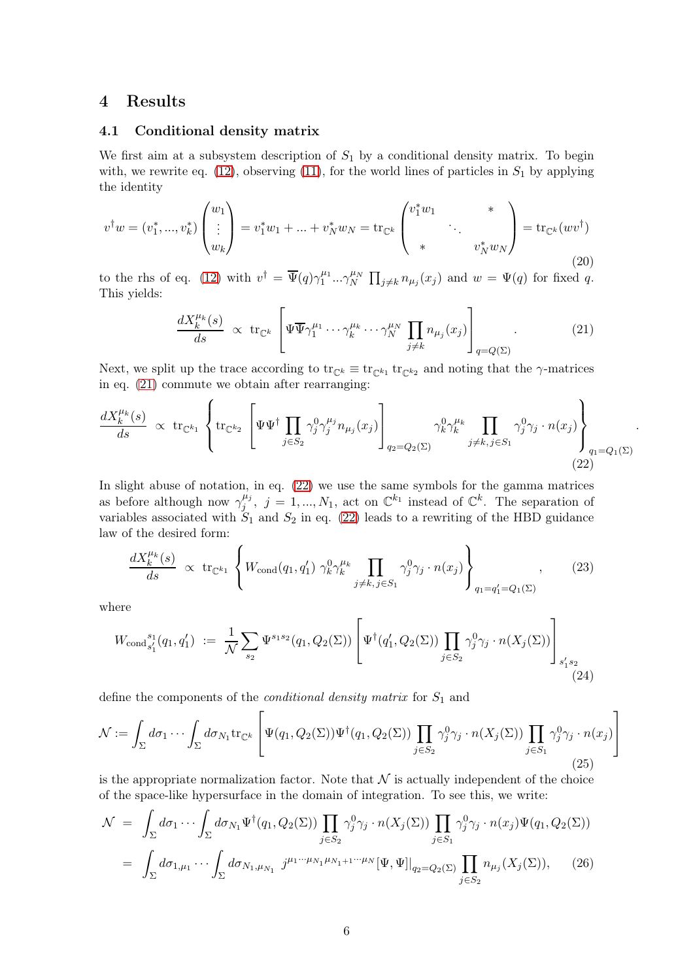## 4 Results

#### 4.1 Conditional density matrix

We first aim at a subsystem description of  $S_1$  by a conditional density matrix. To begin with, we rewrite eq. [\(12\)](#page-3-2), observing [\(11\)](#page-2-2), for the world lines of particles in  $S_1$  by applying the identity

$$
v^{\dagger}w = (v_1^*,...,v_k^*)\begin{pmatrix} w_1 \\ \vdots \\ w_k \end{pmatrix} = v_1^*w_1 + ... + v_N^*w_N = \text{tr}_{\mathbb{C}^k} \begin{pmatrix} v_1^*w_1 & * \\ & \ddots & \\ * & & v_N^*w_N \end{pmatrix} = \text{tr}_{\mathbb{C}^k}(wv^{\dagger})
$$
\n(20)

to the rhs of eq. [\(12\)](#page-3-2) with  $v^{\dagger} = \overline{\Psi}(q)\gamma_1^{\mu_1}...\gamma_N^{\mu_N} \prod_{j\neq k} n_{\mu_j}(x_j)$  and  $w = \Psi(q)$  for fixed q. This yields:

<span id="page-5-0"></span>
$$
\frac{dX_k^{\mu_k}(s)}{ds} \propto \operatorname{tr}_{\mathbb{C}^k} \left[ \Psi \overline{\Psi} \gamma_1^{\mu_1} \cdots \gamma_k^{\mu_k} \cdots \gamma_N^{\mu_N} \prod_{j \neq k} n_{\mu_j}(x_j) \right]_{q = Q(\Sigma)} . \tag{21}
$$

<span id="page-5-4"></span><span id="page-5-1"></span>.

Next, we split up the trace according to  $\text{tr}_{\mathbb{C}^k} \equiv \text{tr}_{\mathbb{C}^{k_1}} \text{tr}_{\mathbb{C}^{k_2}}$  and noting that the  $\gamma$ -matrices in eq. [\(21\)](#page-5-0) commute we obtain after rearranging:

$$
\frac{dX_k^{\mu_k}(s)}{ds} \propto \operatorname{tr}_{\mathbb{C}^{k_1}} \left\{ \operatorname{tr}_{\mathbb{C}^{k_2}} \left[ \Psi \Psi^{\dagger} \prod_{j \in S_2} \gamma_j^0 \gamma_j^{\mu_j} n_{\mu_j}(x_j) \right]_{q_2 = Q_2(\Sigma)} \gamma_k^0 \gamma_k^{\mu_k} \prod_{j \neq k, j \in S_1} \gamma_j^0 \gamma_j \cdot n(x_j) \right\}_{q_1 = Q_1(\Sigma)}
$$
\n(22)

In slight abuse of notation, in eq. [\(22\)](#page-5-1) we use the same symbols for the gamma matrices as before although now  $\gamma_i^{\mu_j}$  $j^{u_j}$ ,  $j = 1, ..., N_1$ , act on  $\mathbb{C}^{k_1}$  instead of  $\mathbb{C}^k$ . The separation of variables associated with  $S_1$  and  $S_2$  in eq. [\(22\)](#page-5-1) leads to a rewriting of the HBD guidance law of the desired form:

<span id="page-5-2"></span>
$$
\frac{dX_k^{\mu_k}(s)}{ds} \propto \operatorname{tr}_{\mathbb{C}^{k_1}} \left\{ W_{\text{cond}}(q_1, q_1') \gamma_k^0 \gamma_k^{\mu_k} \prod_{j \neq k, j \in S_1} \gamma_j^0 \gamma_j \cdot n(x_j) \right\}_{q_1 = q_1' = Q_1(\Sigma)}, \quad (23)
$$

where

$$
W_{\text{cond}}{}_{s_1'}^{s_1}(q_1, q_1') := \frac{1}{\mathcal{N}} \sum_{s_2} \Psi^{s_1 s_2}(q_1, Q_2(\Sigma)) \left[ \Psi^{\dagger}(q_1', Q_2(\Sigma)) \prod_{j \in S_2} \gamma_j^0 \gamma_j \cdot n(X_j(\Sigma)) \right]_{s_1' s_2}
$$
\n(24)

define the components of the *conditional density matrix* for  $S_1$  and

г

<span id="page-5-3"></span>
$$
\mathcal{N} := \int_{\Sigma} d\sigma_1 \cdots \int_{\Sigma} d\sigma_{N_1} \text{tr}_{\mathbb{C}^k} \left[ \Psi(q_1, Q_2(\Sigma)) \Psi^{\dagger}(q_1, Q_2(\Sigma)) \prod_{j \in S_2} \gamma_j^0 \gamma_j \cdot n(X_j(\Sigma)) \prod_{j \in S_1} \gamma_j^0 \gamma_j \cdot n(x_j) \right]
$$
\n(25)

is the appropriate normalization factor. Note that  $\mathcal N$  is actually independent of the choice of the space-like hypersurface in the domain of integration. To see this, we write:

$$
\mathcal{N} = \int_{\Sigma} d\sigma_1 \cdots \int_{\Sigma} d\sigma_{N_1} \Psi^{\dagger}(q_1, Q_2(\Sigma)) \prod_{j \in S_2} \gamma_j^0 \gamma_j \cdot n(X_j(\Sigma)) \prod_{j \in S_1} \gamma_j^0 \gamma_j \cdot n(x_j) \Psi(q_1, Q_2(\Sigma))
$$
  

$$
= \int_{\Sigma} d\sigma_{1,\mu_1} \cdots \int_{\Sigma} d\sigma_{N_1,\mu_{N_1}} j^{\mu_1 \cdots \mu_{N_1} \mu_{N_1+1} \cdots \mu_N} [\Psi, \Psi]_{q_2 = Q_2(\Sigma)} \prod_{j \in S_2} n_{\mu_j}(X_j(\Sigma)), \quad (26)
$$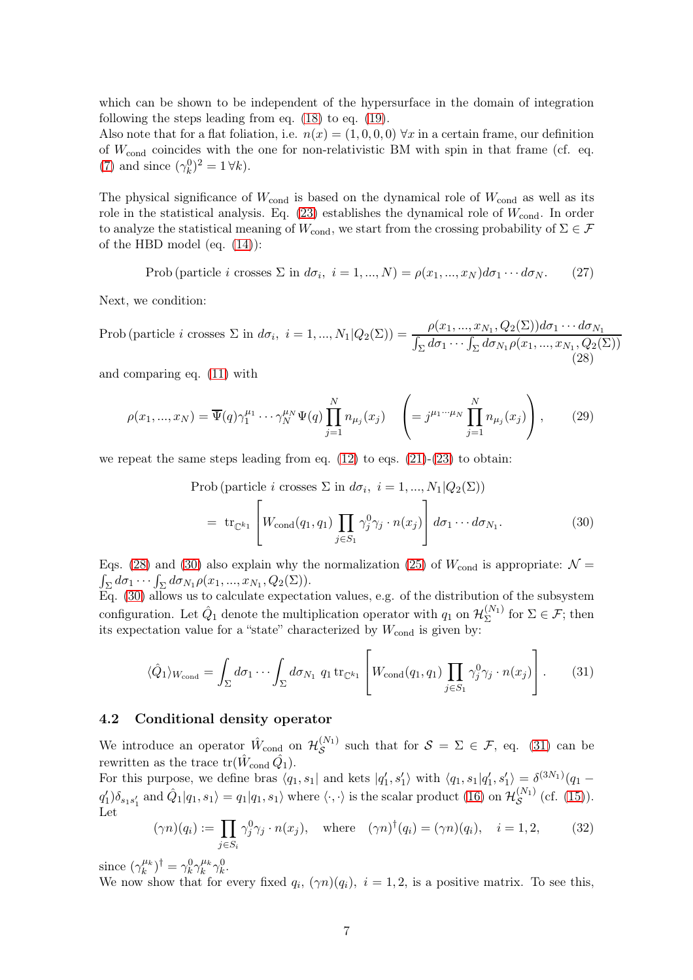which can be shown to be independent of the hypersurface in the domain of integration following the steps leading from eq. [\(18\)](#page-4-2) to eq. [\(19\)](#page-4-1).

Also note that for a flat foliation, i.e.  $n(x) = (1, 0, 0, 0) \,\forall x$  in a certain frame, our definition of  $W_{\text{cond}}$  coincides with the one for non-relativistic BM with spin in that frame (cf. eq. [\(7\)](#page-2-3) and since  $(\gamma_k^0)^2 = 1 \forall k$ .

The physical significance of  $W_{\text{cond}}$  is based on the dynamical role of  $W_{\text{cond}}$  as well as its role in the statistical analysis. Eq. [\(23\)](#page-5-2) establishes the dynamical role of  $W_{\text{cond}}$ . In order to analyze the statistical meaning of  $W_{\text{cond}}$ , we start from the crossing probability of  $\Sigma \in \mathcal{F}$ of the HBD model (eq. [\(14\)](#page-3-1)):

Prob (particle *i* crosses  $\Sigma$  in  $d\sigma_i$ ,  $i = 1, ..., N$ ) =  $\rho(x_1, ..., x_N)d\sigma_1 \cdots d\sigma_N$ . (27)

Next, we condition:

<span id="page-6-0"></span>Prob (particle *i* crosses  $\Sigma$  in  $d\sigma_i$ ,  $i = 1, ..., N_1 | Q_2(\Sigma)$ ) =  $\frac{\rho(x_1, ..., x_{N_1}, Q_2(\Sigma))d\sigma_1 \cdots d\sigma_{N_1}}{\int_{\Sigma} d\sigma_1 \cdots \int_{\Sigma} d\sigma_{N_1} \rho(x_1, ..., x_{N_1}, Q_2(\Sigma))}$ (28)

and comparing eq. [\(11\)](#page-2-2) with

$$
\rho(x_1, ..., x_N) = \overline{\Psi}(q)\gamma_1^{\mu_1} \cdots \gamma_N^{\mu_N} \Psi(q) \prod_{j=1}^N n_{\mu_j}(x_j) \quad \left( = j^{\mu_1 \cdots \mu_N} \prod_{j=1}^N n_{\mu_j}(x_j) \right), \tag{29}
$$

we repeat the same steps leading from eq.  $(12)$  to eqs.  $(21)-(23)$  $(21)-(23)$  to obtain:

$$
\text{Prob} \left( \text{particle } i \text{ crosses } \Sigma \text{ in } d\sigma_i, \ i = 1, ..., N_1 | Q_2(\Sigma) \right)
$$
\n
$$
= \text{tr}_{\mathbb{C}^{k_1}} \left[ W_{\text{cond}}(q_1, q_1) \prod_{j \in S_1} \gamma_j^0 \gamma_j \cdot n(x_j) \right] d\sigma_1 \cdots d\sigma_{N_1}. \tag{30}
$$

<span id="page-6-1"></span> $\overline{1}$ 

Eqs. [\(28\)](#page-6-0) and [\(30\)](#page-6-1) also explain why the normalization [\(25\)](#page-5-3) of  $W_{\text{cond}}$  is appropriate:  $\mathcal{N} =$  $\sum d\sigma_1 \cdots \int_{\Sigma} d\sigma_{N_1} \rho(x_1, ..., x_{N_1}, Q_2(\Sigma)).$ 

Eq. [\(30\)](#page-6-1) allows us to calculate expectation values, e.g. of the distribution of the subsystem configuration. Let  $\hat{Q}_1$  denote the multiplication operator with  $q_1$  on  $\mathcal{H}_{\Sigma}^{(N_1)}$  $\sum_{\Sigma}^{\binom{N}{1}}$  for  $\Sigma \in \mathcal{F}$ ; then its expectation value for a "state" characterized by  $W_{\text{cond}}$  is given by:

<span id="page-6-2"></span>
$$
\langle \hat{Q}_1 \rangle_{W_{\text{cond}}} = \int_{\Sigma} d\sigma_1 \cdots \int_{\Sigma} d\sigma_{N_1} q_1 \operatorname{tr}_{\mathbb{C}^{k_1}} \left[ W_{\text{cond}}(q_1, q_1) \prod_{j \in S_1} \gamma_j^0 \gamma_j \cdot n(x_j) \right]. \tag{31}
$$

### 4.2 Conditional density operator

We introduce an operator  $\hat{W}_{\text{cond}}$  on  $\mathcal{H}_{\mathcal{S}}^{(N_1)}$  $\mathcal{S}^{\text{(IV)}}$  such that for  $\mathcal{S} = \Sigma \in \mathcal{F}$ , eq. [\(31\)](#page-6-2) can be rewritten as the trace  $\text{tr}(\hat{W}_{\text{cond}}\hat{Q}_1)$ .

For this purpose, we define bras  $\langle q_1, s_1 |$  and kets  $|q'_1, s'_1\rangle$  with  $\langle q_1, s_1 | q'_1, s'_1\rangle = \delta^{(3N_1)}(q_1$  $q_1')\delta_{s_1s_1'}$  and  $\hat{Q}_1|q_1,s_1\rangle = q_1|q_1,s_1\rangle$  where  $\langle \cdot,\cdot \rangle$  is the scalar product [\(16\)](#page-3-0) on  $\mathcal{H}_{\mathcal{S}}^{(N_1)}$  $\mathcal{S}^{(N_1)}$  (cf. [\(15\)](#page-3-3)). Let

<span id="page-6-3"></span>
$$
(\gamma n)(q_i) := \prod_{j \in S_i} \gamma_j^0 \gamma_j \cdot n(x_j), \quad \text{where} \quad (\gamma n)^{\dagger}(q_i) = (\gamma n)(q_i), \quad i = 1, 2, \tag{32}
$$

since  $(\gamma_k^{\mu_k})^{\dagger} = \gamma_k^0 \gamma_k^{\mu_k} \gamma_k^0$ .

We now show that for every fixed  $q_i$ ,  $(\gamma n)(q_i)$ ,  $i = 1, 2$ , is a positive matrix. To see this,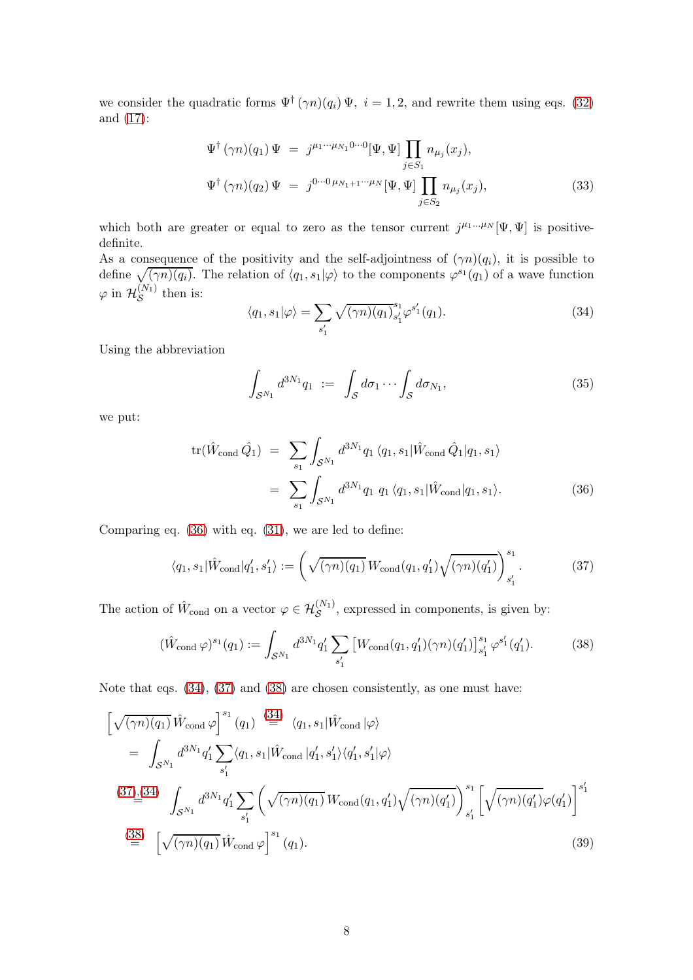we consider the quadratic forms  $\Psi^{\dagger}(\gamma n)(q_i)\Psi$ ,  $i=1,2$ , and rewrite them using eqs. [\(32\)](#page-6-3) and [\(17\)](#page-4-3):

$$
\Psi^{\dagger}(\gamma n)(q_1) \Psi = j^{\mu_1 \cdots \mu_{N_1} 0 \cdots 0} [\Psi, \Psi] \prod_{j \in S_1} n_{\mu_j}(x_j),
$$
  

$$
\Psi^{\dagger}(\gamma n)(q_2) \Psi = j^{0 \cdots 0} {\mu_{N_1+1} \cdots \mu_N} [\Psi, \Psi] \prod_{j \in S_2} n_{\mu_j}(x_j),
$$
 (33)

which both are greater or equal to zero as the tensor current  $j^{\mu_1...\mu_N}[\Psi,\Psi]$  is positivedefinite.

As a consequence of the positivity and the self-adjointness of  $(\gamma n)(q_i)$ , it is possible to define  $\sqrt{\overline{(n)(q_i)}}$ . The relation of  $\langle q_1, s_1 | \varphi \rangle$  to the components  $\varphi^{s_1}(q_1)$  of a wave function  $\varphi$  in  $\mathcal{H}^{(N_1)}_{\mathcal{S}}$  $\mathcal{S}^{(N_1)}$  then is:

<span id="page-7-1"></span>
$$
\langle q_1, s_1 | \varphi \rangle = \sum_{s_1'} \sqrt{(\gamma n)(q_1)}_{s_1'}^{s_1} \varphi^{s_1'}(q_1). \tag{34}
$$

Using the abbreviation

<span id="page-7-0"></span>
$$
\int_{\mathcal{S}^{N_1}} d^{3N_1} q_1 := \int_{\mathcal{S}} d\sigma_1 \cdots \int_{\mathcal{S}} d\sigma_{N_1},\tag{35}
$$

we put:

$$
\text{tr}(\hat{W}_{\text{cond}}\,\hat{Q}_1) = \sum_{s_1} \int_{\mathcal{S}^{N_1}} d^{3N_1}q_1 \langle q_1, s_1 | \hat{W}_{\text{cond}}\,\hat{Q}_1 | q_1, s_1 \rangle
$$
\n
$$
= \sum_{s_1} \int_{\mathcal{S}^{N_1}} d^{3N_1}q_1 \; q_1 \langle q_1, s_1 | \hat{W}_{\text{cond}} | q_1, s_1 \rangle. \tag{36}
$$

Comparing eq. [\(36\)](#page-7-0) with eq. [\(31\)](#page-6-2), we are led to define:

<span id="page-7-2"></span>
$$
\langle q_1, s_1 | \hat{W}_{\text{cond}} | q_1', s_1' \rangle := \left( \sqrt{(\gamma n)(q_1)} \, W_{\text{cond}}(q_1, q_1') \sqrt{(\gamma n)(q_1')} \right)_{s_1'}^{s_1} . \tag{37}
$$

The action of  $\hat{W}_{\text{cond}}$  on a vector  $\varphi \in \mathcal{H}_{\mathcal{S}}^{(N_1)}$ , expressed in components, is given by:

<span id="page-7-3"></span>
$$
(\hat{W}_{\text{cond}}\,\varphi)^{s_1}(q_1) := \int_{\mathcal{S}^{N_1}} d^{3N_1} q_1' \sum_{s_1'} \left[ W_{\text{cond}}(q_1, q_1')(\gamma n) (q_1') \right]_{s_1'}^{s_1} \varphi^{s_1'}(q_1'). \tag{38}
$$

Note that eqs. [\(34\)](#page-7-1), [\(37\)](#page-7-2) and [\(38\)](#page-7-3) are chosen consistently, as one must have:

$$
\begin{split}\n\left[\sqrt{(\gamma n)(q_1)} \,\hat{W}_{\text{cond}} \,\varphi\right]^{s_1}(q_1) & \stackrel{(34)}{=} \langle q_1, s_1 | \hat{W}_{\text{cond}} \, |\varphi\rangle \\
& = \int_{\mathcal{S}^{N_1}} d^{3N_1} q_1' \sum_{s_1'} \langle q_1, s_1 | \hat{W}_{\text{cond}} \, |q_1', s_1'\rangle \langle q_1', s_1' |\varphi\rangle \\
& \stackrel{(37)}{=}{}^{34} \int_{\mathcal{S}^{N_1}} d^{3N_1} q_1' \sum_{s_1'} \left(\sqrt{(\gamma n)(q_1)} \, W_{\text{cond}}(q_1, q_1') \sqrt{(\gamma n)(q_1')} \right)_{s_1'}^{s_1} \left[\sqrt{(\gamma n)(q_1')}\varphi(q_1')\right]^{s_1'} \\
& \stackrel{(38)}{=} \left[\sqrt{(\gamma n)(q_1)} \, \hat{W}_{\text{cond}} \,\varphi\right]^{s_1}(q_1).\n\end{split} \tag{39}
$$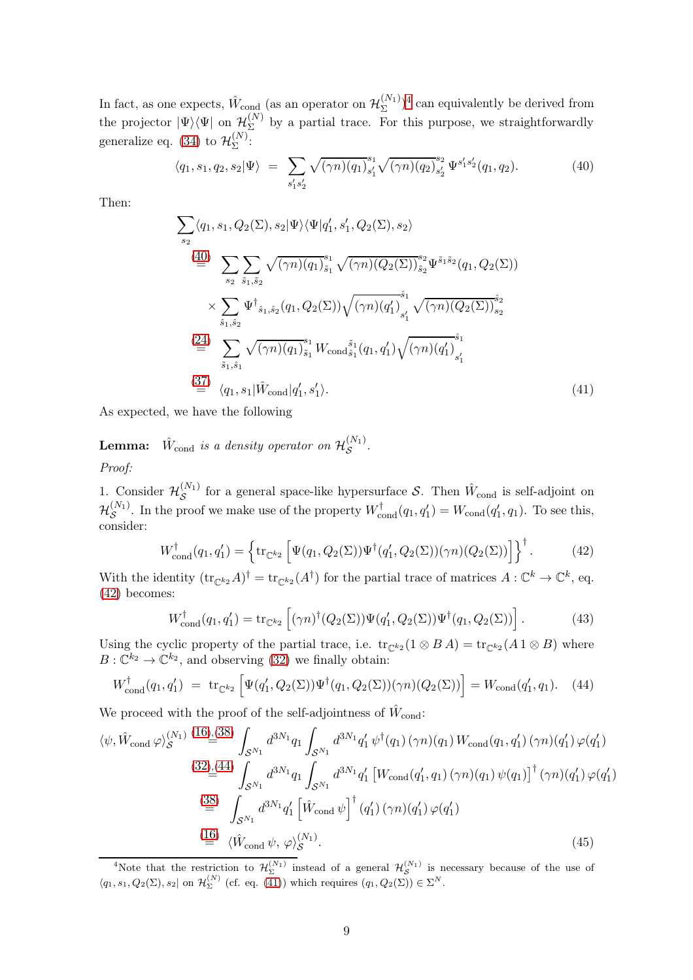In fact, as one expects,  $\hat{W}_{cond}$  (as an operator on  $\mathcal{H}_{\Sigma}^{(N_1)}$  $\sum_{\Sigma}^{(N_1)}$ <sup>[4](#page-8-0)</sup> can equivalently be derived from the projector  $|\Psi\rangle\langle\Psi|$  on  $\mathcal{H}_{\Sigma}^{(N)}$  $\sum_{\alpha}^{(\mathcal{N})}$  by a partial trace. For this purpose, we straightforwardly generalize eq. [\(34\)](#page-7-1) to  $\mathcal{H}_{\Sigma}^{(N)}$  $\sum_{i=1}^{\binom{n}{2}}$ 

<span id="page-8-1"></span>
$$
\langle q_1, s_1, q_2, s_2 | \Psi \rangle = \sum_{s'_1 s'_2} \sqrt{(\gamma n) (q_1)_{s'_1}^{s_1}} \sqrt{(\gamma n) (q_2)_{s'_2}^{s_2}} \Psi^{s'_1 s'_2}(q_1, q_2). \tag{40}
$$

Then:

<span id="page-8-4"></span>
$$
\sum_{s_2} \langle q_1, s_1, Q_2(\Sigma), s_2 | \Psi \rangle \langle \Psi | q_1', s_1', Q_2(\Sigma), s_2 \rangle
$$
  
\n
$$
\stackrel{(40)}{=} \sum_{s_2} \sum_{\tilde{s}_1, \tilde{s}_2} \sqrt{(\gamma n) (q_1)_{\tilde{s}_1}^{s_1}} \sqrt{(\gamma n) (Q_2(\Sigma))_{\tilde{s}_2}^{s_2}} \Psi^{\tilde{s}_1 \tilde{s}_2} (q_1, Q_2(\Sigma))
$$
  
\n
$$
\times \sum_{\tilde{s}_1, \tilde{s}_2} \Psi^{\dagger}_{\hat{s}_1, \hat{s}_2} (q_1, Q_2(\Sigma)) \sqrt{(\gamma n) (q_1')}_{s_1'}^{s_1} \sqrt{(\gamma n) (Q_2(\Sigma))_{s_2}^{s_2}}
$$
  
\n
$$
\stackrel{(24)}{=} \sum_{\tilde{s}_1, \tilde{s}_1} \sqrt{(\gamma n) (q_1)_{\tilde{s}_1}^{s_1}} W_{\text{cond}\tilde{s}_1} (q_1, q_1') \sqrt{(\gamma n) (q_1')}_{s_1'}^{s_1}
$$
  
\n
$$
\stackrel{(37)}{=} \langle q_1, s_1 | \hat{W}_{\text{cond}} | q_1', s_1' \rangle.
$$
  
\n(41)

As expected, we have the following

**Lemma:**  $\hat{W}_{\text{cond}}$  is a density operator on  $\mathcal{H}_{\mathcal{S}}^{(N_1)}$  $\overset{(N1)}{\mathcal{S}}$ .

## Proof:

1. Consider  $\mathcal{H}^{(N_1)}_{\mathcal{S}}$  $S^{(N_1)}$  for a general space-like hypersurface S. Then  $\hat{W}_{\text{cond}}$  is self-adjoint on  $\mathcal{H}^{(N_1)}_\mathcal{S}$  $S(S^{(N_1)}$ . In the proof we make use of the property  $W_{\text{cond}}^{\dagger}(q_1, q'_1) = W_{\text{cond}}(q'_1, q_1)$ . To see this, consider:

<span id="page-8-2"></span>
$$
W_{\text{cond}}^{\dagger}(q_1, q_1') = \left\{ \text{tr}_{\mathbb{C}^{k_2}} \left[ \Psi(q_1, Q_2(\Sigma)) \Psi^{\dagger}(q_1', Q_2(\Sigma)) (\gamma n) (Q_2(\Sigma)) \right] \right\}^{\dagger}.
$$
 (42)

With the identity  $(\text{tr}_{\mathbb{C}^{k_2}}A)^{\dagger} = \text{tr}_{\mathbb{C}^{k_2}}(A^{\dagger})$  for the partial trace of matrices  $A: \mathbb{C}^k \to \mathbb{C}^k$ , eq. [\(42\)](#page-8-2) becomes:

$$
W_{\text{cond}}^{\dagger}(q_1, q_1') = \text{tr}_{\mathbb{C}^{k_2}} \left[ (\gamma n)^{\dagger} (Q_2(\Sigma)) \Psi(q_1', Q_2(\Sigma)) \Psi^{\dagger}(q_1, Q_2(\Sigma)) \right]. \tag{43}
$$

Using the cyclic property of the partial trace, i.e.  $\text{tr}_{\mathbb{C}^{k_2}}(1 \otimes B A) = \text{tr}_{\mathbb{C}^{k_2}}(A 1 \otimes B)$  where  $B: \mathbb{C}^{k_2} \to \mathbb{C}^{k_2}$ , and observing [\(32\)](#page-6-3) we finally obtain:

<span id="page-8-3"></span>
$$
W_{\text{cond}}^{\dagger}(q_1, q_1') = \text{tr}_{\mathbb{C}^{k_2}} \left[ \Psi(q_1', Q_2(\Sigma)) \Psi^{\dagger}(q_1, Q_2(\Sigma)) (\gamma n) (Q_2(\Sigma)) \right] = W_{\text{cond}}(q_1', q_1). \tag{44}
$$

We proceed with the proof of the self-adjointness of  $\hat{W}_{\text{cond}}$ :

$$
\langle \psi, \hat{W}_{\text{cond}} \varphi \rangle_{\mathcal{S}}^{(N_1)} \stackrel{(16),(38)}{=} \int_{\mathcal{S}^{N_1}} d^{3N_1} q_1 \int_{\mathcal{S}^{N_1}} d^{3N_1} q'_1 \psi^{\dagger}(q_1) (\gamma n)(q_1) W_{\text{cond}}(q_1, q'_1) (\gamma n)(q'_1) \varphi(q'_1)
$$
\n
$$
\stackrel{(32),(44)}{=} \int_{\mathcal{S}^{N_1}} d^{3N_1} q_1 \int_{\mathcal{S}^{N_1}} d^{3N_1} q'_1 \left[ W_{\text{cond}}(q'_1, q_1) (\gamma n)(q_1) \psi(q_1) \right]^{\dagger} (\gamma n)(q'_1) \varphi(q'_1)
$$
\n
$$
\stackrel{(38)}{=} \int_{\mathcal{S}^{N_1}} d^{3N_1} q'_1 \left[ \hat{W}_{\text{cond}} \psi \right]^{\dagger} (q'_1) (\gamma n)(q'_1) \varphi(q'_1)
$$
\n
$$
\stackrel{(16)}{=} \langle \hat{W}_{\text{cond}} \psi, \varphi \rangle_{\mathcal{S}}^{(N_1)}.
$$
\n(45)

<span id="page-8-0"></span><sup>&</sup>lt;sup>4</sup>Note that the restriction to  $\mathcal{H}_{\Sigma}^{(N_1)}$  instead of a general  $\mathcal{H}_{\mathcal{S}}^{(N_1)}$  is necessary because of the use of  $\langle q_1, s_1, Q_2(\Sigma), s_2 |$  on  $\mathcal{H}_{\Sigma}^{(N)}$  (cf. eq. [\(41\)](#page-8-4)) which requires  $(q_1, Q_2(\Sigma)) \in \Sigma^N$ .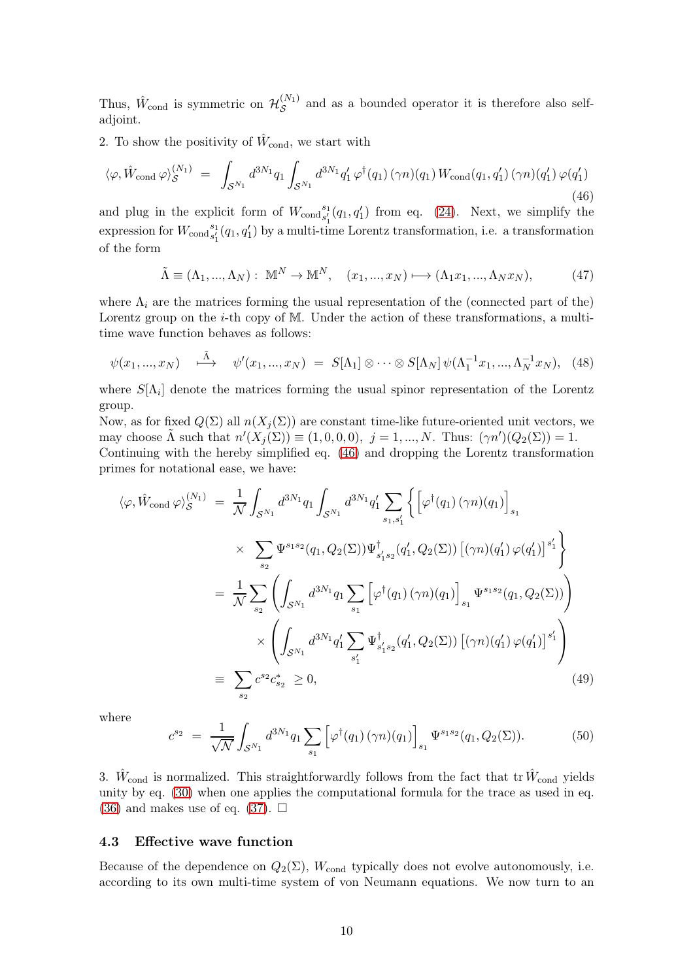Thus,  $\hat{W}_{\text{cond}}$  is symmetric on  $\mathcal{H}_{\mathcal{S}}^{(N_1)}$  $\mathcal{S}^{(N_1)}$  and as a bounded operator it is therefore also selfadjoint.

2. To show the positivity of  $\hat{W}_{\text{cond}}$ , we start with

<span id="page-9-0"></span>
$$
\langle \varphi, \hat{W}_{\text{cond}} \varphi \rangle_{\mathcal{S}}^{(N_1)} = \int_{\mathcal{S}^{N_1}} d^{3N_1} q_1 \int_{\mathcal{S}^{N_1}} d^{3N_1} q'_1 \, \varphi^{\dagger}(q_1) \, (\gamma n)(q_1) \, W_{\text{cond}}(q_1, q'_1) \, (\gamma n)(q'_1) \, \varphi(q'_1)
$$
\n(46)

and plug in the explicit form of  $W_{\text{cond}_{s'_1}}^{s_1}$  $s_1^s(q_1, q'_1)$  from eq. [\(24\)](#page-5-4). Next, we simplify the expression for  $W_{\text{cond}_{s_1}^{s_1}}$  $s_1(s_1(q_1, q'_1))$  by a multi-time Lorentz transformation, i.e. a transformation of the form

$$
\tilde{\Lambda} \equiv (\Lambda_1, ..., \Lambda_N) : \mathbb{M}^N \to \mathbb{M}^N, \quad (x_1, ..., x_N) \mapsto (\Lambda_1 x_1, ..., \Lambda_N x_N), \tag{47}
$$

where  $\Lambda_i$  are the matrices forming the usual representation of the (connected part of the) Lorentz group on the  $i$ -th copy of M. Under the action of these transformations, a multitime wave function behaves as follows:

<span id="page-9-1"></span>
$$
\psi(x_1, ..., x_N) \quad \stackrel{\tilde{\Lambda}}{\longrightarrow} \quad \psi'(x_1, ..., x_N) \ = \ S[\Lambda_1] \otimes \cdots \otimes S[\Lambda_N] \, \psi(\Lambda_1^{-1} x_1, ..., \Lambda_N^{-1} x_N), \tag{48}
$$

where  $S[\Lambda_i]$  denote the matrices forming the usual spinor representation of the Lorentz group.

Now, as for fixed  $Q(\Sigma)$  all  $n(X_i(\Sigma))$  are constant time-like future-oriented unit vectors, we may choose  $\tilde{\Lambda}$  such that  $n'(X_j(\Sigma)) \equiv (1,0,0,0), j = 1,...,N$ . Thus:  $(\gamma n')(Q_2(\Sigma)) = 1$ . Continuing with the hereby simplified eq. [\(46\)](#page-9-0) and dropping the Lorentz transformation primes for notational ease, we have:

$$
\langle \varphi, \hat{W}_{\text{cond}} \varphi \rangle_{\mathcal{S}}^{(N_{1})} = \frac{1}{\mathcal{N}} \int_{\mathcal{S}^{N_{1}}} d^{3N_{1}}q_{1} \int_{\mathcal{S}^{N_{1}}} d^{3N_{1}}q_{1}' \sum_{s_{1}, s_{1}'} \left\{ \left[ \varphi^{\dagger}(q_{1}) \left( \gamma n \right) (q_{1}) \right]_{s_{1}} \times \sum_{s_{2}} \Psi^{s_{1}s_{2}}(q_{1}, Q_{2}(\Sigma)) \Psi_{s_{1}'s_{2}}^{\dagger}(q_{1}', Q_{2}(\Sigma)) \left[ (\gamma n) (q_{1}') \varphi(q_{1}') \right]^{s_{1}'} \right\}
$$
  
\n
$$
= \frac{1}{\mathcal{N}} \sum_{s_{2}} \left( \int_{\mathcal{S}^{N_{1}}} d^{3N_{1}}q_{1} \sum_{s_{1}} \left[ \varphi^{\dagger}(q_{1}) \left( \gamma n \right) (q_{1}) \right]_{s_{1}} \Psi^{s_{1}s_{2}}(q_{1}, Q_{2}(\Sigma)) \right)
$$
  
\n
$$
\times \left( \int_{\mathcal{S}^{N_{1}}} d^{3N_{1}}q_{1}' \sum_{s_{1}'} \Psi_{s_{1}'s_{2}}^{\dagger}(q_{1}', Q_{2}(\Sigma)) \left[ (\gamma n) (q_{1}') \varphi(q_{1}') \right]^{s_{1}'} \right)
$$
  
\n
$$
\equiv \sum_{s_{2}} c^{s_{2}} c_{s_{2}}^{*} \geq 0,
$$
\n(49)

where

$$
c^{s_2} = \frac{1}{\sqrt{N}} \int_{\mathcal{S}^{N_1}} d^{3N_1} q_1 \sum_{s_1} \left[ \varphi^{\dagger}(q_1) (\gamma n)(q_1) \right]_{s_1} \Psi^{s_1 s_2}(q_1, Q_2(\Sigma)). \tag{50}
$$

3.  $\hat{W}_{\text{cond}}$  is normalized. This straightforwardly follows from the fact that tr $\hat{W}_{\text{cond}}$  yields unity by eq. [\(30\)](#page-6-1) when one applies the computational formula for the trace as used in eq. [\(36\)](#page-7-0) and makes use of eq. [\(37\)](#page-7-2).  $\Box$ 

#### 4.3 Effective wave function

Because of the dependence on  $Q_2(\Sigma)$ ,  $W_{\text{cond}}$  typically does not evolve autonomously, i.e. according to its own multi-time system of von Neumann equations. We now turn to an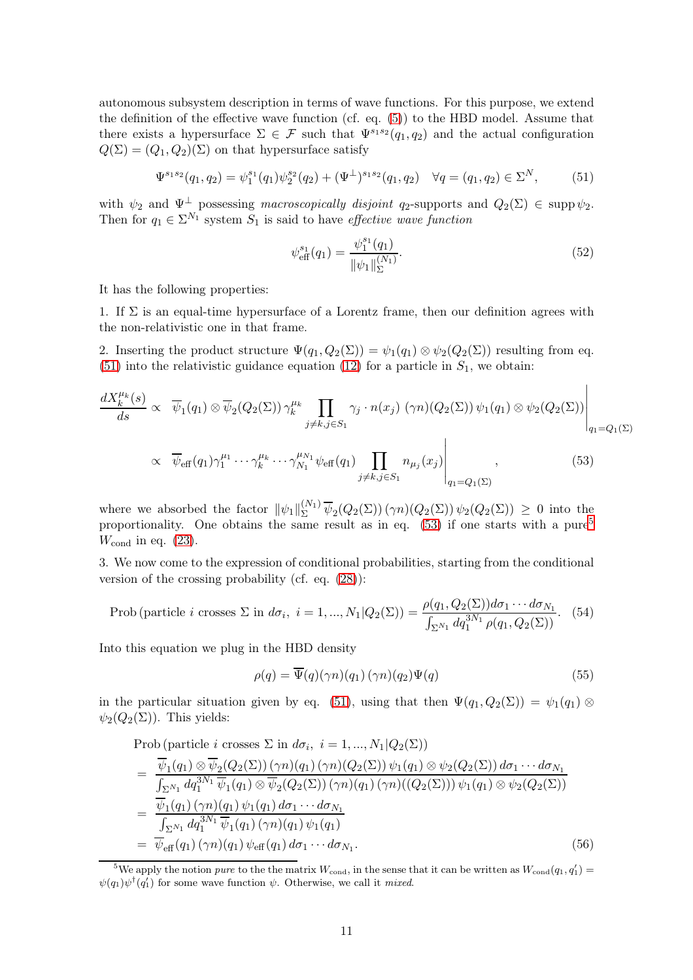autonomous subsystem description in terms of wave functions. For this purpose, we extend the definition of the effective wave function (cf. eq. [\(5\)](#page-1-2)) to the HBD model. Assume that there exists a hypersurface  $\Sigma \in \mathcal{F}$  such that  $\Psi^{s_1s_2}(q_1, q_2)$  and the actual configuration  $Q(\Sigma) = (Q_1, Q_2)(\Sigma)$  on that hypersurface satisfy

<span id="page-10-0"></span>
$$
\Psi^{s_1 s_2}(q_1, q_2) = \psi_1^{s_1}(q_1) \psi_2^{s_2}(q_2) + (\Psi^{\perp})^{s_1 s_2}(q_1, q_2) \quad \forall q = (q_1, q_2) \in \Sigma^N,
$$
 (51)

with  $\psi_2$  and  $\Psi^{\perp}$  possessing macroscopically disjoint q<sub>2</sub>-supports and  $Q_2(\Sigma) \in \text{supp}\,\psi_2$ . Then for  $q_1 \in \Sigma^{N_1}$  system  $S_1$  is said to have *effective wave function* 

<span id="page-10-4"></span><span id="page-10-1"></span>
$$
\psi_{\text{eff}}^{s_1}(q_1) = \frac{\psi_1^{s_1}(q_1)}{\|\psi_1\|_{\Sigma}^{(N_1)}}.
$$
\n(52)

It has the following properties:

1. If  $\Sigma$  is an equal-time hypersurface of a Lorentz frame, then our definition agrees with the non-relativistic one in that frame.

2. Inserting the product structure  $\Psi(q_1, Q_2(\Sigma)) = \psi_1(q_1) \otimes \psi_2(Q_2(\Sigma))$  resulting from eq. [\(51\)](#page-10-0) into the relativistic guidance equation [\(12\)](#page-3-2) for a particle in  $S_1$ , we obtain:

$$
\frac{dX_k^{\mu_k}(s)}{ds} \propto \overline{\psi}_1(q_1) \otimes \overline{\psi}_2(Q_2(\Sigma)) \gamma_k^{\mu_k} \prod_{j \neq k, j \in S_1} \gamma_j \cdot n(x_j) (\gamma n)(Q_2(\Sigma)) \psi_1(q_1) \otimes \psi_2(Q_2(\Sigma)) \Big|_{q_1 = Q_1(\Sigma)}
$$
\n
$$
\propto \overline{\psi}_{\text{eff}}(q_1) \gamma_1^{\mu_1} \cdots \gamma_k^{\mu_k} \cdots \gamma_{N_1}^{\mu_{N_1}} \psi_{\text{eff}}(q_1) \prod_{j \neq k, j \in S_1} n_{\mu_j}(x_j) \Big|_{q_1 = Q_1(\Sigma)}
$$
\n(53)

where we absorbed the factor  $\|\psi_1\|_{\Sigma}^{(N_1)} \overline{\psi}_2(Q_2(\Sigma))(\gamma n)(Q_2(\Sigma))\psi_2(Q_2(\Sigma)) \geq 0$  into the proportionality. One obtains the same result as in eq.  $(53)$  $(53)$  $(53)$  if one starts with a pure<sup>5</sup>  $W_{\text{cond}}$  in eq. [\(23\)](#page-5-2).

3. We now come to the expression of conditional probabilities, starting from the conditional version of the crossing probability (cf. eq. [\(28\)](#page-6-0)):

$$
\text{Prob} \left( \text{particle } i \text{ crosses } \Sigma \text{ in } d\sigma_i, \ i = 1, ..., N_1 | Q_2(\Sigma) \right) = \frac{\rho(q_1, Q_2(\Sigma)) d\sigma_1 \cdots d\sigma_{N_1}}{\int_{\Sigma^{N_1}} dq_1^{3N_1} \rho(q_1, Q_2(\Sigma))} . \tag{54}
$$

Into this equation we plug in the HBD density

<span id="page-10-3"></span>
$$
\rho(q) = \overline{\Psi}(q)(\gamma n)(q_1)(\gamma n)(q_2)\Psi(q) \tag{55}
$$

in the particular situation given by eq. [\(51\)](#page-10-0), using that then  $\Psi(q_1, Q_2(\Sigma)) = \psi_1(q_1) \otimes$  $\psi_2(Q_2(\Sigma))$ . This yields:

$$
\begin{split}\n\text{Prob} \left( \text{particle } i \text{ crosses } \Sigma \text{ in } d\sigma_i, \ i = 1, ..., N_1 | Q_2(\Sigma) \right) \\
&= \frac{\overline{\psi}_1(q_1) \otimes \overline{\psi}_2(Q_2(\Sigma)) \left( \gamma n \right) (q_1) \left( \gamma n \right) (Q_2(\Sigma)) \psi_1(q_1) \otimes \psi_2(Q_2(\Sigma)) d\sigma_1 \cdots d\sigma_{N_1}}{\int_{\Sigma^{N_1}} d q_1^{3N_1} \overline{\psi}_1(q_1) \otimes \overline{\psi}_2(Q_2(\Sigma)) \left( \gamma n \right) (q_1) \left( \gamma n \right) ((Q_2(\Sigma))) \psi_1(q_1) \otimes \psi_2(Q_2(\Sigma))} \\
&= \frac{\overline{\psi}_1(q_1) \left( \gamma n \right) (q_1) \psi_1(q_1) d\sigma_1 \cdots d\sigma_{N_1}}{\int_{\Sigma^{N_1}} d q_1^{3N_1} \overline{\psi}_1(q_1) \left( \gamma n \right) (q_1) \psi_1(q_1)} \\
&= \overline{\psi}_{\text{eff}}(q_1) \left( \gamma n \right) (q_1) \psi_{\text{eff}}(q_1) d\sigma_1 \cdots d\sigma_{N_1}.\n\end{split} \tag{56}
$$

<span id="page-10-2"></span><sup>&</sup>lt;sup>5</sup>We apply the notion *pure* to the the matrix  $W_{\text{cond}}$ , in the sense that it can be written as  $W_{\text{cond}}(q_1, q'_1)$  $\psi(q_1)\psi^{\dagger}(q_1)$  for some wave function  $\psi$ . Otherwise, we call it mixed.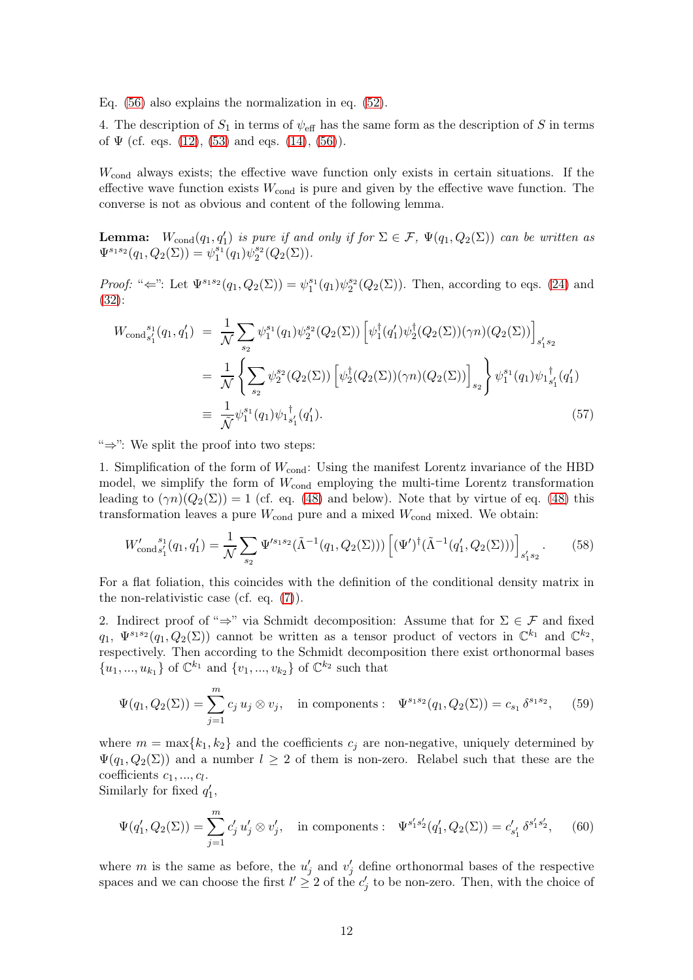Eq. [\(56\)](#page-10-3) also explains the normalization in eq. [\(52\)](#page-10-4).

4. The description of  $S_1$  in terms of  $\psi_{\text{eff}}$  has the same form as the description of S in terms of  $\Psi$  (cf. eqs. [\(12\)](#page-3-2), [\(53\)](#page-10-1) and eqs. [\(14\)](#page-3-1), [\(56\)](#page-10-3)).

 $W_{\text{cond}}$  always exists; the effective wave function only exists in certain situations. If the effective wave function exists  $W_{\text{cond}}$  is pure and given by the effective wave function. The converse is not as obvious and content of the following lemma.

**Lemma:**  $W_{\text{cond}}(q_1, q'_1)$  is pure if and only if for  $\Sigma \in \mathcal{F}$ ,  $\Psi(q_1, Q_2(\Sigma))$  can be written as  $\Psi^{s_1s_2}(q_1, Q_2(\Sigma)) = \psi_1^{s_1}(q_1)\psi_2^{s_2}(Q_2(\Sigma)).$ 

Proof: " $\Leftarrow$ ": Let  $\Psi^{s_1s_2}(q_1, Q_2(\Sigma)) = \psi_1^{s_1}(q_1)\psi_2^{s_2}(Q_2(\Sigma))$ . Then, according to eqs. [\(24\)](#page-5-4) and [\(32\)](#page-6-3):

$$
W_{\text{cond}}_{s_1'}^{s_1}(q_1, q_1') = \frac{1}{N} \sum_{s_2} \psi_1^{s_1}(q_1) \psi_2^{s_2}(Q_2(\Sigma)) \left[ \psi_1^{\dagger}(q_1') \psi_2^{\dagger}(Q_2(\Sigma))(\gamma n) (Q_2(\Sigma)) \right]_{s_1's_2}
$$
  
\n
$$
= \frac{1}{N} \left\{ \sum_{s_2} \psi_2^{s_2}(Q_2(\Sigma)) \left[ \psi_2^{\dagger}(Q_2(\Sigma))(\gamma n) (Q_2(\Sigma)) \right]_{s_2} \right\} \psi_1^{s_1}(q_1) \psi_1^{\dagger}_{s_1'}(q_1')
$$
  
\n
$$
\equiv \frac{1}{N} \psi_1^{s_1}(q_1) \psi_1^{\dagger}_{s_1'}(q_1'). \tag{57}
$$

" $\Rightarrow$ ": We split the proof into two steps:

1. Simplification of the form of  $W_{\text{cond}}$ : Using the manifest Lorentz invariance of the HBD model, we simplify the form of  $W_{\text{cond}}$  employing the multi-time Lorentz transformation leading to  $(\gamma n)(Q_2(\Sigma)) = 1$  (cf. eq. [\(48\)](#page-9-1) and below). Note that by virtue of eq. [\(48\)](#page-9-1) this transformation leaves a pure  $W_{\text{cond}}$  pure and a mixed  $W_{\text{cond}}$  mixed. We obtain:

$$
W'_{\text{cond}}{}_{s'_1}^{s_1}(q_1, q'_1) = \frac{1}{\mathcal{N}} \sum_{s_2} \Psi'^{s_1 s_2}(\tilde{\Lambda}^{-1}(q_1, Q_2(\Sigma))) \left[ (\Psi')^{\dagger} (\tilde{\Lambda}^{-1}(q'_1, Q_2(\Sigma))) \right]_{s'_1 s_2}.
$$
 (58)

For a flat foliation, this coincides with the definition of the conditional density matrix in the non-relativistic case (cf. eq. [\(7\)](#page-2-3)).

2. Indirect proof of " $\Rightarrow$ " via Schmidt decomposition: Assume that for  $\Sigma \in \mathcal{F}$  and fixed  $q_1, \Psi^{s_1s_2}(q_1, Q_2(\Sigma))$  cannot be written as a tensor product of vectors in  $\mathbb{C}^{k_1}$  and  $\mathbb{C}^{k_2}$ , respectively. Then according to the Schmidt decomposition there exist orthonormal bases  $\{u_1, ..., u_{k_1}\}$  of  $\mathbb{C}^{k_1}$  and  $\{v_1, ..., v_{k_2}\}$  of  $\mathbb{C}^{k_2}$  such that

$$
\Psi(q_1, Q_2(\Sigma)) = \sum_{j=1}^{m} c_j u_j \otimes v_j, \quad \text{in components:} \quad \Psi^{s_1 s_2}(q_1, Q_2(\Sigma)) = c_{s_1} \delta^{s_1 s_2}, \quad (59)
$$

where  $m = \max\{k_1, k_2\}$  and the coefficients  $c_j$  are non-negative, uniquely determined by  $\Psi(q_1, Q_2(\Sigma))$  and a number  $l \geq 2$  of them is non-zero. Relabel such that these are the coefficients  $c_1, ..., c_l$ .

Similarly for fixed  $q'_1$ ,

$$
\Psi(q'_1, Q_2(\Sigma)) = \sum_{j=1}^m c'_j u'_j \otimes v'_j, \quad \text{in components:} \quad \Psi^{s'_1 s'_2}(q'_1, Q_2(\Sigma)) = c'_{s'_1} \delta^{s'_1 s'_2}, \tag{60}
$$

where m is the same as before, the  $u'_j$  and  $v'_j$  define orthonormal bases of the respective spaces and we can choose the first  $l' \geq 2$  of the  $c'_{j}$  to be non-zero. Then, with the choice of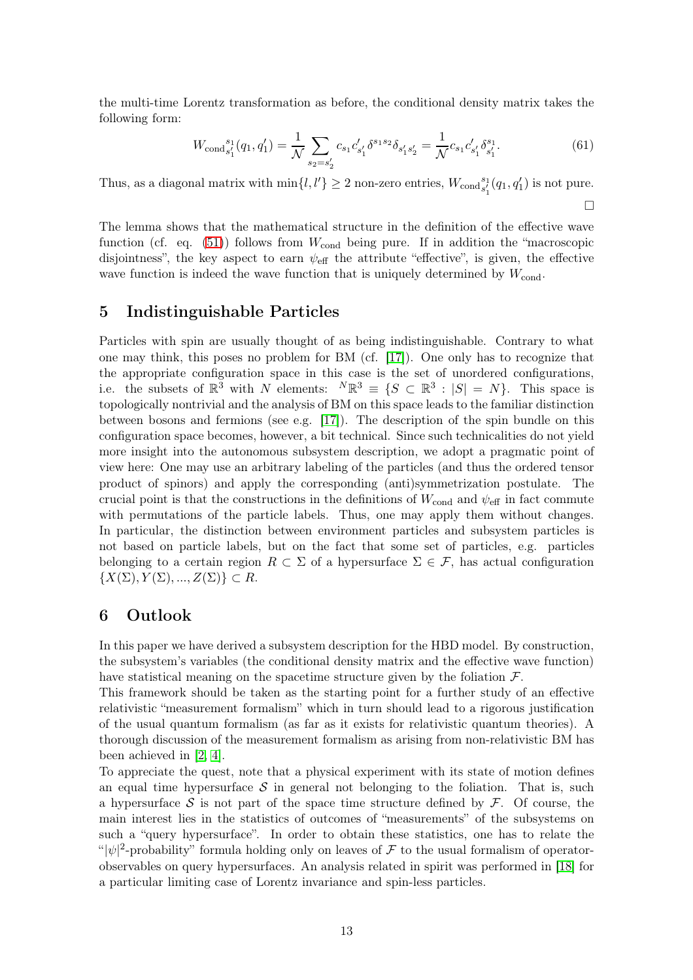the multi-time Lorentz transformation as before, the conditional density matrix takes the following form:

$$
W_{\text{cond}}{}_{s_1'}^{s_1}(q_1, q_1') = \frac{1}{\mathcal{N}} \sum_{s_2 = s_2'} c_{s_1} c_{s_1'}' \delta^{s_1 s_2} \delta_{s_1' s_2'} = \frac{1}{\mathcal{N}} c_{s_1} c_{s_1'}' \delta_{s_1'}^{s_1}.
$$
 (61)

Thus, as a diagonal matrix with  $\min\{l, l'\} \geq 2$  non-zero entries,  $W_{\text{cond}_{s'_1}}^{s_1}$  $s_1^{s_1}(q_1, q'_1)$  is not pure.  $\Box$ 

The lemma shows that the mathematical structure in the definition of the effective wave function (cf. eq.  $(51)$ ) follows from  $W_{\text{cond}}$  being pure. If in addition the "macroscopic disjointness", the key aspect to earn  $\psi_{\text{eff}}$  the attribute "effective", is given, the effective wave function is indeed the wave function that is uniquely determined by  $W_{\text{cond}}$ .

## 5 Indistinguishable Particles

Particles with spin are usually thought of as being indistinguishable. Contrary to what one may think, this poses no problem for BM (cf. [\[17\]](#page-13-16)). One only has to recognize that the appropriate configuration space in this case is the set of unordered configurations, i.e. the subsets of  $\mathbb{R}^3$  with N elements:  $^N \mathbb{R}^3 \equiv \{ S \subset \mathbb{R}^3 : |S| = N \}$ . This space is topologically nontrivial and the analysis of BM on this space leads to the familiar distinction between bosons and fermions (see e.g. [\[17\]](#page-13-16)). The description of the spin bundle on this configuration space becomes, however, a bit technical. Since such technicalities do not yield more insight into the autonomous subsystem description, we adopt a pragmatic point of view here: One may use an arbitrary labeling of the particles (and thus the ordered tensor product of spinors) and apply the corresponding (anti)symmetrization postulate. The crucial point is that the constructions in the definitions of  $W_{\text{cond}}$  and  $\psi_{\text{eff}}$  in fact commute with permutations of the particle labels. Thus, one may apply them without changes. In particular, the distinction between environment particles and subsystem particles is not based on particle labels, but on the fact that some set of particles, e.g. particles belonging to a certain region  $R \subset \Sigma$  of a hypersurface  $\Sigma \in \mathcal{F}$ , has actual configuration  $\{X(\Sigma), Y(\Sigma), ..., Z(\Sigma)\}\subset R.$ 

## 6 Outlook

In this paper we have derived a subsystem description for the HBD model. By construction, the subsystem's variables (the conditional density matrix and the effective wave function) have statistical meaning on the spacetime structure given by the foliation  $\mathcal{F}$ .

This framework should be taken as the starting point for a further study of an effective relativistic "measurement formalism" which in turn should lead to a rigorous justification of the usual quantum formalism (as far as it exists for relativistic quantum theories). A thorough discussion of the measurement formalism as arising from non-relativistic BM has been achieved in [\[2,](#page-13-1) [4\]](#page-13-3).

To appreciate the quest, note that a physical experiment with its state of motion defines an equal time hypersurface  $\mathcal S$  in general not belonging to the foliation. That is, such a hypersurface S is not part of the space time structure defined by  $\mathcal{F}$ . Of course, the main interest lies in the statistics of outcomes of "measurements" of the subsystems on such a "query hypersurface". In order to obtain these statistics, one has to relate the "| $|\psi|^2$ -probability" formula holding only on leaves of  $\mathcal F$  to the usual formalism of operatorobservables on query hypersurfaces. An analysis related in spirit was performed in [\[18\]](#page-14-0) for a particular limiting case of Lorentz invariance and spin-less particles.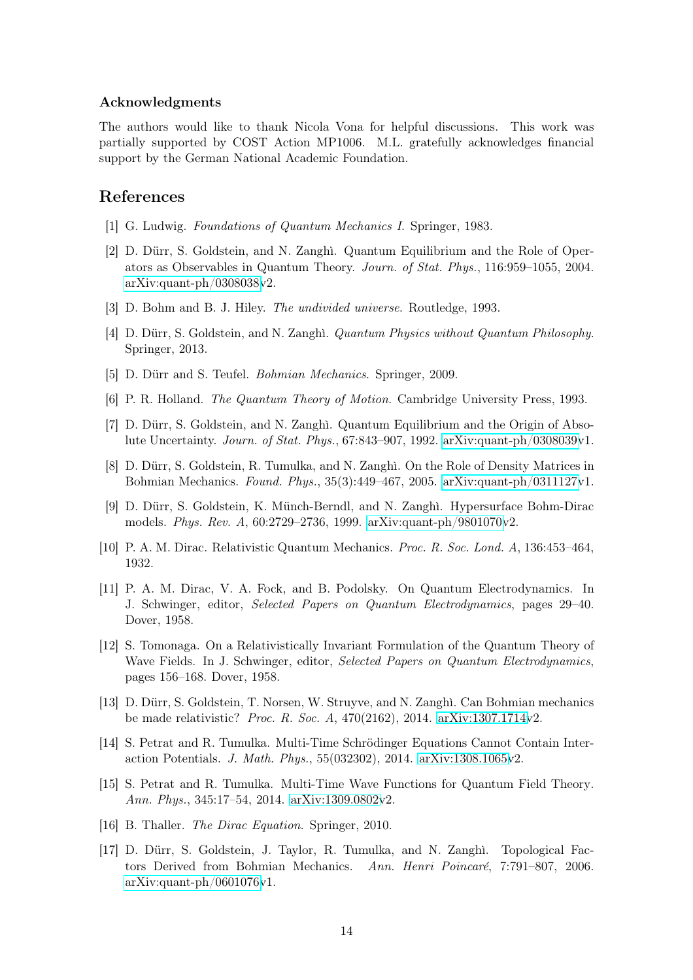#### Acknowledgments

The authors would like to thank Nicola Vona for helpful discussions. This work was partially supported by COST Action MP1006. M.L. gratefully acknowledges financial support by the German National Academic Foundation.

## <span id="page-13-0"></span>References

- <span id="page-13-1"></span>[1] G. Ludwig. Foundations of Quantum Mechanics I. Springer, 1983.
- [2] D. Dürr, S. Goldstein, and N. Zanghì. Quantum Equilibrium and the Role of Operators as Observables in Quantum Theory. Journ. of Stat. Phys., 116:959–1055, 2004. [arXiv:quant-ph/0308038v](http://arxiv.org/abs/quant-ph/0308038)2.
- <span id="page-13-3"></span><span id="page-13-2"></span>[3] D. Bohm and B. J. Hiley. *The undivided universe*. Routledge, 1993.
- <span id="page-13-4"></span>[4] D. Dürr, S. Goldstein, and N. Zanghì. Quantum Physics without Quantum Philosophy. Springer, 2013.
- <span id="page-13-5"></span>[5] D. Dürr and S. Teufel. Bohmian Mechanics. Springer, 2009.
- <span id="page-13-6"></span>[6] P. R. Holland. The Quantum Theory of Motion. Cambridge University Press, 1993.
- <span id="page-13-7"></span>[7] D. Dürr, S. Goldstein, and N. Zanghì. Quantum Equilibrium and the Origin of Absolute Uncertainty. Journ. of Stat. Phys., 67:843–907, 1992. [arXiv:quant-ph/0308039v](http://arxiv.org/abs/quant-ph/0308039)1.
- [8] D. Dürr, S. Goldstein, R. Tumulka, and N. Zanghì. On the Role of Density Matrices in Bohmian Mechanics. Found. Phys., 35(3):449–467, 2005. [arXiv:quant-ph/0311127v](http://arxiv.org/abs/quant-ph/0311127)1.
- <span id="page-13-8"></span>[9] D. Dürr, S. Goldstein, K. Münch-Berndl, and N. Zanghì. Hypersurface Bohm-Dirac models. Phys. Rev. A, 60:2729–2736, 1999. [arXiv:quant-ph/9801070v](http://arxiv.org/abs/quant-ph/9801070)2.
- <span id="page-13-10"></span><span id="page-13-9"></span>[10] P. A. M. Dirac. Relativistic Quantum Mechanics. Proc. R. Soc. Lond. A, 136:453–464, 1932.
- [11] P. A. M. Dirac, V. A. Fock, and B. Podolsky. On Quantum Electrodynamics. In J. Schwinger, editor, Selected Papers on Quantum Electrodynamics, pages 29–40. Dover, 1958.
- <span id="page-13-11"></span>[12] S. Tomonaga. On a Relativistically Invariant Formulation of the Quantum Theory of Wave Fields. In J. Schwinger, editor, Selected Papers on Quantum Electrodynamics, pages 156–168. Dover, 1958.
- <span id="page-13-12"></span>[13] D. Dürr, S. Goldstein, T. Norsen, W. Struyve, and N. Zanghì. Can Bohmian mechanics be made relativistic? Proc. R. Soc. A, 470(2162), 2014. [arXiv:1307.1714v](http://arxiv.org/abs/1307.1714)2.
- <span id="page-13-13"></span>[14] S. Petrat and R. Tumulka. Multi-Time Schrödinger Equations Cannot Contain Interaction Potentials. J. Math. Phys., 55(032302), 2014. [arXiv:1308.1065v](http://arxiv.org/abs/1308.1065)2.
- <span id="page-13-14"></span>[15] S. Petrat and R. Tumulka. Multi-Time Wave Functions for Quantum Field Theory. Ann. Phys., 345:17–54, 2014. [arXiv:1309.0802v](http://arxiv.org/abs/1309.0802)2.
- <span id="page-13-16"></span><span id="page-13-15"></span>[16] B. Thaller. The Dirac Equation. Springer, 2010.
- [17] D. Dürr, S. Goldstein, J. Taylor, R. Tumulka, and N. Zanghì. Topological Factors Derived from Bohmian Mechanics. Ann. Henri Poincaré, 7:791–807, 2006. [arXiv:quant-ph/0601076v](http://arxiv.org/abs/quant-ph/0601076)1.